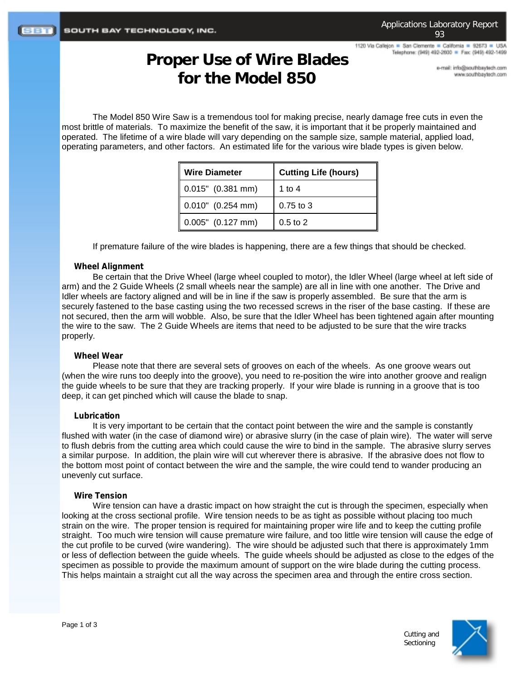1120 Via Callejon = San Clemente = California = 92673 = USA Telephone: (949) 492-2600 = Fax: (949) 492-1499

# **Proper Use of Wire Blades for the Model 850**

e-mail: info@southbaytech.com www.southbaytech.com

The Model 850 Wire Saw is a tremendous tool for making precise, nearly damage free cuts in even the most brittle of materials. To maximize the benefit of the saw, it is important that it be properly maintained and operated. The lifetime of a wire blade will vary depending on the sample size, sample material, applied load, operating parameters, and other factors. An estimated life for the various wire blade types is given below.

| <b>Wire Diameter</b>  | <b>Cutting Life (hours)</b> |
|-----------------------|-----------------------------|
| $0.015"$ (0.381 mm)   | 1 to 4                      |
| $0.010"$ $(0.254$ mm) | $0.75$ to 3                 |
| $0.005"$ $(0.127$ mm) | $0.5$ to $2$                |

If premature failure of the wire blades is happening, there are a few things that should be checked.

### **Wheel Alignment**

Be certain that the Drive Wheel (large wheel coupled to motor), the Idler Wheel (large wheel at left side of arm) and the 2 Guide Wheels (2 small wheels near the sample) are all in line with one another. The Drive and Idler wheels are factory aligned and will be in line if the saw is properly assembled. Be sure that the arm is securely fastened to the base casting using the two recessed screws in the riser of the base casting. If these are not secured, then the arm will wobble. Also, be sure that the Idler Wheel has been tightened again after mounting the wire to the saw. The 2 Guide Wheels are items that need to be adjusted to be sure that the wire tracks properly.

### **Wheel Wear**

Please note that there are several sets of grooves on each of the wheels. As one groove wears out (when the wire runs too deeply into the groove), you need to re-position the wire into another groove and realign the guide wheels to be sure that they are tracking properly. If your wire blade is running in a groove that is too deep, it can get pinched which will cause the blade to snap.

### **Lubrication**

It is very important to be certain that the contact point between the wire and the sample is constantly flushed with water (in the case of diamond wire) or abrasive slurry (in the case of plain wire). The water will serve to flush debris from the cutting area which could cause the wire to bind in the sample. The abrasive slurry serves a similar purpose. In addition, the plain wire will cut wherever there is abrasive. If the abrasive does not flow to the bottom most point of contact between the wire and the sample, the wire could tend to wander producing an unevenly cut surface.

### **Wire Tension**

Wire tension can have a drastic impact on how straight the cut is through the specimen, especially when looking at the cross sectional profile. Wire tension needs to be as tight as possible without placing too much strain on the wire. The proper tension is required for maintaining proper wire life and to keep the cutting profile straight. Too much wire tension will cause premature wire failure, and too little wire tension will cause the edge of the cut profile to be curved (wire wandering). The wire should be adjusted such that there is approximately 1mm or less of deflection between the guide wheels. The guide wheels should be adjusted as close to the edges of the specimen as possible to provide the maximum amount of support on the wire blade during the cutting process. This helps maintain a straight cut all the way across the specimen area and through the entire cross section.



Cutting and **Sectioning**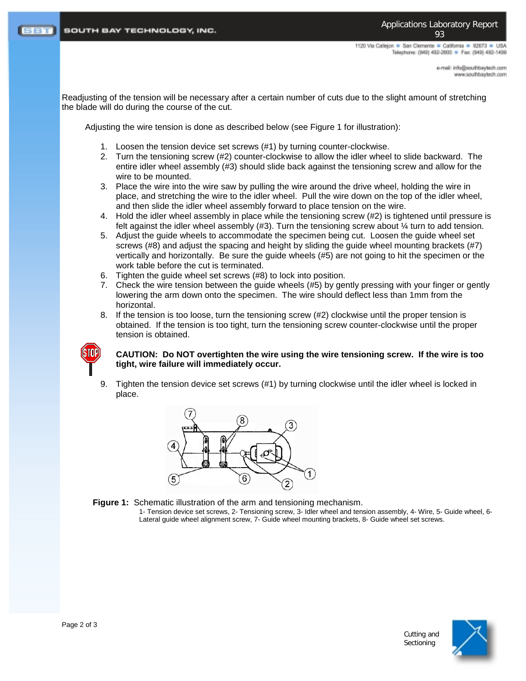1120 Via Calleion . San Clemente . California . 92673 . USA Telephone: (949) 492-2600 = Fax: (949) 492-1499

> e-mail: info@southbaytech.com moo.floeyeedrib.com

Readjusting of the tension will be necessary after a certain number of cuts due to the slight amount of stretching the blade will do during the course of the cut.

Adjusting the wire tension is done as described below (see Figure 1 for illustration):

- 1. Loosen the tension device set screws (#1) by turning counter-clockwise.
- 2. Turn the tensioning screw (#2) counter-clockwise to allow the idler wheel to slide backward. The entire idler wheel assembly (#3) should slide back against the tensioning screw and allow for the wire to be mounted.
- 3. Place the wire into the wire saw by pulling the wire around the drive wheel, holding the wire in place, and stretching the wire to the idler wheel. Pull the wire down on the top of the idler wheel, and then slide the idler wheel assembly forward to place tension on the wire.
- 4. Hold the idler wheel assembly in place while the tensioning screw (#2) is tightened until pressure is felt against the idler wheel assembly  $(#3)$ . Turn the tensioning screw about  $\frac{1}{4}$  turn to add tension.
- 5. Adjust the guide wheels to accommodate the specimen being cut. Loosen the guide wheel set screws (#8) and adjust the spacing and height by sliding the guide wheel mounting brackets (#7) vertically and horizontally. Be sure the guide wheels (#5) are not going to hit the specimen or the work table before the cut is terminated.
- 6. Tighten the guide wheel set screws (#8) to lock into position.
- 7. Check the wire tension between the guide wheels (#5) by gently pressing with your finger or gently lowering the arm down onto the specimen. The wire should deflect less than 1mm from the horizontal.
- 8. If the tension is too loose, turn the tensioning screw (#2) clockwise until the proper tension is obtained. If the tension is too tight, turn the tensioning screw counter-clockwise until the proper tension is obtained.



#### **CAUTION: Do NOT overtighten the wire using the wire tensioning screw. If the wire is too tight, wire failure will immediately occur.**

9. Tighten the tension device set screws (#1) by turning clockwise until the idler wheel is locked in place.





1- Tension device set screws, 2- Tensioning screw, 3- Idler wheel and tension assembly, 4- Wire, 5- Guide wheel, 6- Lateral guide wheel alignment screw, 7- Guide wheel mounting brackets, 8- Guide wheel set screws.



Cutting and **Sectioning**